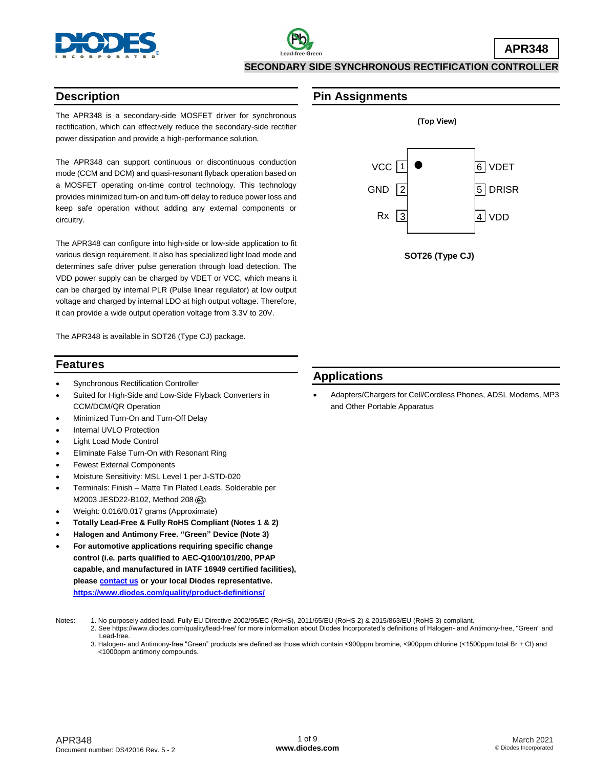

### **SECONDARY SIDE SYNCHRONOUS RECTIFICATION CONTROLLER**

## **Description**

The APR348 is a secondary-side MOSFET driver for synchronous rectification, which can effectively reduce the secondary-side rectifier power dissipation and provide a high-performance solution.

The APR348 can support continuous or discontinuous conduction mode (CCM and DCM) and quasi-resonant flyback operation based on a MOSFET operating on-time control technology. This technology provides minimized turn-on and turn-off delay to reduce power loss and keep safe operation without adding any external components or circuitry.

The APR348 can configure into high-side or low-side application to fit various design requirement. It also has specialized light load mode and determines safe driver pulse generation through load detection. The VDD power supply can be charged by VDET or VCC, which means it can be charged by internal PLR (Pulse linear regulator) at low output voltage and charged by internal LDO at high output voltage. Therefore, it can provide a wide output operation voltage from 3.3V to 20V.

The APR348 is available in SOT26 (Type CJ) package.

## **Features**

- Synchronous Rectification Controller
- Suited for High-Side and Low-Side Flyback Converters in CCM/DCM/QR Operation
- Minimized Turn-On and Turn-Off Delay
- Internal UVLO Protection
- Light Load Mode Control
- Eliminate False Turn-On with Resonant Ring
- Fewest External Components
- Moisture Sensitivity: MSL Level 1 per J-STD-020
- Terminals: Finish Matte Tin Plated Leads, Solderable per M2003 JESD22-B102, Method 208
- Weight: 0.016/0.017 grams (Approximate)
- **Totally Lead-Free & Fully RoHS Compliant (Notes 1 & 2)**
- **Halogen and Antimony Free. "Green" Device (Note 3)**
- **For automotive applications requiring specific change control (i.e. parts qualified to AEC-Q100/101/200, PPAP capable, and manufactured in IATF 16949 certified facilities), pleas[e contact us](https://www.diodes.com/about/contact-us/) or your local Diodes representative. <https://www.diodes.com/quality/product-definitions/>**
- 

## **Pin Assignments**



 **SOT26 (Type CJ)**

## **Applications**

 Adapters/Chargers for Cell/Cordless Phones, ADSL Modems, MP3 and Other Portable Apparatus

- Notes: 1. No purposely added lead. Fully EU Directive 2002/95/EC (RoHS), 2011/65/EU (RoHS 2) & 2015/863/EU (RoHS 3) compliant.
	- 2. See https://www.diodes.com/quality/lead-free/ for more information about Diodes Incorporated's definitions of Halogen- and Antimony-free, "Green" and Lead-free.
	- 3. Halogen- and Antimony-free "Green" products are defined as those which contain <900ppm bromine, <900ppm chlorine (<1500ppm total Br + Cl) and <1000ppm antimony compounds.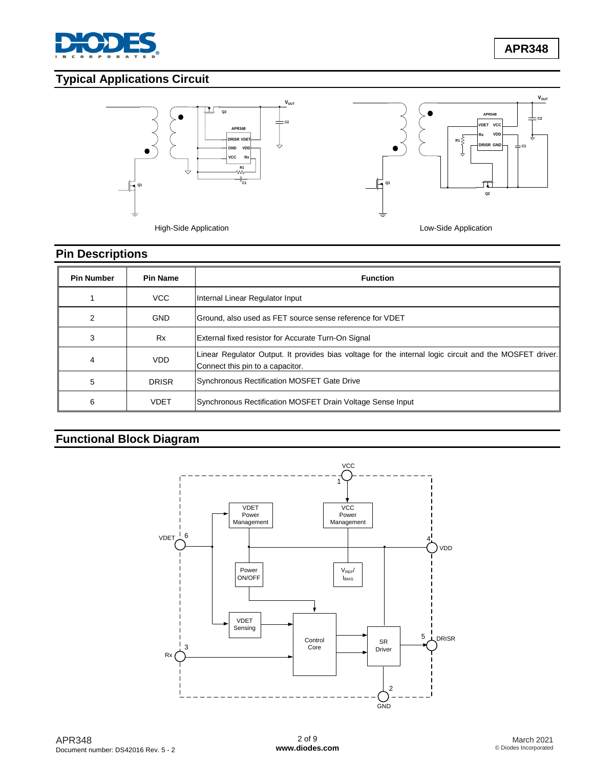

**APR348**

# **Typical Applications Circuit**



# **Pin Descriptions**

| <b>Pin Number</b> | <b>Pin Name</b> | <b>Function</b>                                                                                                                             |  |
|-------------------|-----------------|---------------------------------------------------------------------------------------------------------------------------------------------|--|
|                   | VCC             | Internal Linear Regulator Input                                                                                                             |  |
| 2                 | <b>GND</b>      | Ground, also used as FET source sense reference for VDET                                                                                    |  |
| 3                 | <b>Rx</b>       | External fixed resistor for Accurate Turn-On Signal                                                                                         |  |
| 4                 | <b>VDD</b>      | Linear Regulator Output. It provides bias voltage for the internal logic circuit and the MOSFET driver.<br>Connect this pin to a capacitor. |  |
| 5                 | <b>DRISR</b>    | Synchronous Rectification MOSFET Gate Drive                                                                                                 |  |
| 6                 | <b>VDET</b>     | Synchronous Rectification MOSFET Drain Voltage Sense Input                                                                                  |  |

# **Functional Block Diagram**

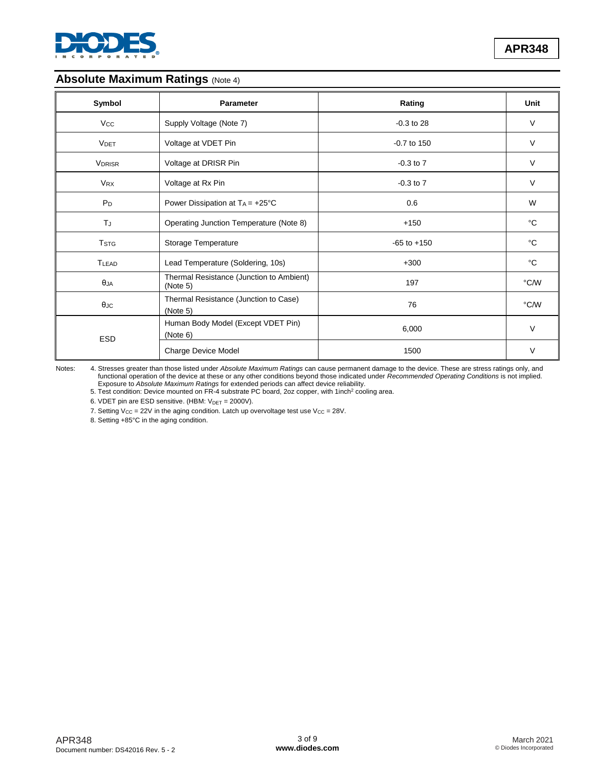

## **Absolute Maximum Ratings (Note 4)**

| Symbol                  | <b>Parameter</b>                                     | Rating          | Unit   |
|-------------------------|------------------------------------------------------|-----------------|--------|
| <b>Vcc</b>              | Supply Voltage (Note 7)                              | $-0.3$ to 28    | $\vee$ |
| <b>VDET</b>             | Voltage at VDET Pin                                  | $-0.7$ to 150   | $\vee$ |
| <b>VDRISR</b>           | Voltage at DRISR Pin                                 | $-0.3$ to $7$   | $\vee$ |
| <b>VRX</b>              | Voltage at Rx Pin                                    | $-0.3$ to $7$   | $\vee$ |
| P <sub>D</sub>          | Power Dissipation at $TA = +25^{\circ}C$             | 0.6             | W      |
| ΤJ                      | Operating Junction Temperature (Note 8)              | $+150$          | °C     |
| <b>T</b> <sub>STG</sub> | Storage Temperature                                  | $-65$ to $+150$ | °C     |
| <b>TLEAD</b>            | Lead Temperature (Soldering, 10s)                    | $+300$          | °C     |
| $\theta$ JA             | Thermal Resistance (Junction to Ambient)<br>(Note 5) | 197             | °C/W   |
| $\theta$ JC             | Thermal Resistance (Junction to Case)<br>(Note 5)    | 76              | °C/W   |
| <b>ESD</b>              | Human Body Model (Except VDET Pin)<br>(Note 6)       | 6,000           | $\vee$ |
|                         | Charge Device Model                                  | 1500            | $\vee$ |

Notes: 4. Stresses greater than those listed under *Absolute Maximum Ratings* can cause permanent damage to the device. These are stress ratings only, and functional operation of the device at these or any other conditions beyond those indicated under *Recommended Operating Conditions* is not implied. Exposure to Absolute Maximum Ratings for extended periods can affect device reliability.<br>5. Test condition: Device mounted on FR-4 substrate PC board, 2oz copper, with 1inch<sup>2</sup> cooling area.

6. VDET pin are ESD sensitive. (HBM:  $V_{DET} = 2000V$ ).

7. Setting  $V_{CC} = 22V$  in the aging condition. Latch up overvoltage test use  $V_{CC} = 28V$ .

8. Setting +85°C in the aging condition.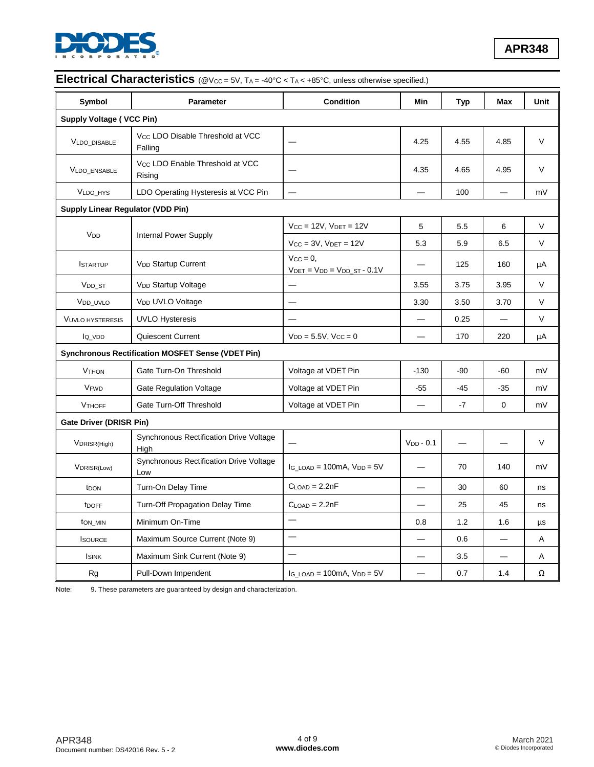

# **Electrical Characteristics** (@V<sub>CC</sub> = 5V, T<sub>A</sub> = -40°C < T<sub>A</sub> < +85°C, unless otherwise specified.)

| Symbol                                   | <b>Parameter</b>                                         | <b>Condition</b>                                         | Min                      | <b>Typ</b> | Max         | Unit   |
|------------------------------------------|----------------------------------------------------------|----------------------------------------------------------|--------------------------|------------|-------------|--------|
| <b>Supply Voltage ( VCC Pin)</b>         |                                                          |                                                          |                          |            |             |        |
| <b>VLDO DISABLE</b>                      | Vcc LDO Disable Threshold at VCC<br>Falling              |                                                          | 4.25                     | 4.55       | 4.85        | $\vee$ |
| VLDO_ENSABLE                             | Vcc LDO Enable Threshold at VCC<br>Rising                |                                                          | 4.35                     | 4.65       | 4.95        | $\vee$ |
| <b>VLDO HYS</b>                          | LDO Operating Hysteresis at VCC Pin                      |                                                          |                          | 100        |             | mV     |
| <b>Supply Linear Regulator (VDD Pin)</b> |                                                          |                                                          |                          |            |             |        |
|                                          | Internal Power Supply                                    | $V_{CC} = 12V$ , $V_{DET} = 12V$                         | 5                        | 5.5        | 6           | $\vee$ |
| V <sub>DD</sub>                          |                                                          | $Vcc = 3V$ , $V_{DET} = 12V$                             | 5.3                      | 5.9        | 6.5         | V      |
| <b>ISTARTUP</b>                          | <b>VDD Startup Current</b>                               | $V_{CC} = 0$ ,<br>$V_{DET} = V_{DD} = V_{DD\_ST} - 0.1V$ |                          | 125        | 160         | μA     |
| V <sub>DD</sub> ST                       | V <sub>DD</sub> Startup Voltage                          |                                                          | 3.55                     | 3.75       | 3.95        | V      |
| V <sub>DD_UVLO</sub>                     | V <sub>DD</sub> UVLO Voltage                             |                                                          | 3.30                     | 3.50       | 3.70        | V      |
| <b>VUVLO HYSTERESIS</b>                  | <b>UVLO Hysteresis</b>                                   |                                                          |                          | 0.25       |             | V      |
| lo vop                                   | Quiescent Current                                        | $V_{DD} = 5.5V$ , $V_{CC} = 0$                           | $\overline{\phantom{0}}$ | 170        | 220         | μA     |
|                                          | <b>Synchronous Rectification MOSFET Sense (VDET Pin)</b> |                                                          |                          |            |             |        |
| <b>V<sub>THON</sub></b>                  | Gate Turn-On Threshold                                   | Voltage at VDET Pin                                      | $-130$                   | $-90$      | $-60$       | mV     |
| <b>VFWD</b>                              | <b>Gate Regulation Voltage</b>                           | Voltage at VDET Pin                                      | -55                      | $-45$      | $-35$       | mV     |
| <b>VTHOFF</b>                            | Gate Turn-Off Threshold                                  | Voltage at VDET Pin                                      |                          | -7         | $\mathbf 0$ | mV     |
| Gate Driver (DRISR Pin)                  |                                                          |                                                          |                          |            |             |        |
| VDRISR(High)                             | <b>Synchronous Rectification Drive Voltage</b><br>High   |                                                          | $VDD - 0.1$              |            |             | V      |
| VDRISR(Low)                              | <b>Synchronous Rectification Drive Voltage</b><br>Low    | IG LOAD = $100mA$ , $V_{DD} = 5V$                        |                          | 70         | 140         | mV     |
| t <sub>DON</sub>                         | Turn-On Delay Time                                       | $CLOAD = 2.2nF$                                          |                          | 30         | 60          | ns     |
| tDOFF                                    | Turn-Off Propagation Delay Time                          | $C_{LOAD} = 2.2nF$                                       |                          | 25         | 45          | ns     |
| ton_min                                  | Minimum On-Time                                          |                                                          | 0.8                      | 1.2        | 1.6         | μs     |
| <b>I</b> SOURCE                          | Maximum Source Current (Note 9)                          | $\overline{\phantom{0}}$                                 |                          | 0.6        |             | Α      |
| <b>I</b> SINK                            | Maximum Sink Current (Note 9)                            |                                                          |                          | 3.5        |             | A      |
| Rg                                       | Pull-Down Impendent                                      | $I_G$ LOAD = 100mA, $V_{DD} = 5V$                        |                          | 0.7        | 1.4         | Ω      |

Note: 9. These parameters are guaranteed by design and characterization.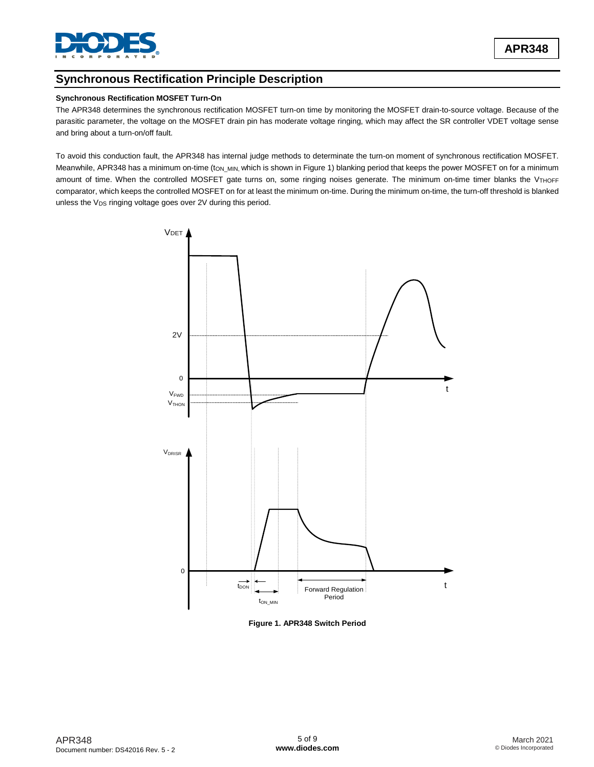

## **Synchronous Rectification Principle Description**

#### **Synchronous Rectification MOSFET Turn-On**

The APR348 determines the synchronous rectification MOSFET turn-on time by monitoring the MOSFET drain-to-source voltage. Because of the parasitic parameter, the voltage on the MOSFET drain pin has moderate voltage ringing, which may affect the SR controller VDET voltage sense and bring about a turn-on/off fault.

To avoid this conduction fault, the APR348 has internal judge methods to determinate the turn-on moment of synchronous rectification MOSFET. Meanwhile, APR348 has a minimum on-time (ton\_MIN, which is shown in Figure 1) blanking period that keeps the power MOSFET on for a minimum amount of time. When the controlled MOSFET gate turns on, some ringing noises generate. The minimum on-time timer blanks the VTHOFF comparator, which keeps the controlled MOSFET on for at least the minimum on-time. During the minimum on-time, the turn-off threshold is blanked unless the  $V_{DS}$  ringing voltage goes over 2V during this period.



**Figure 1. APR348 Switch Period**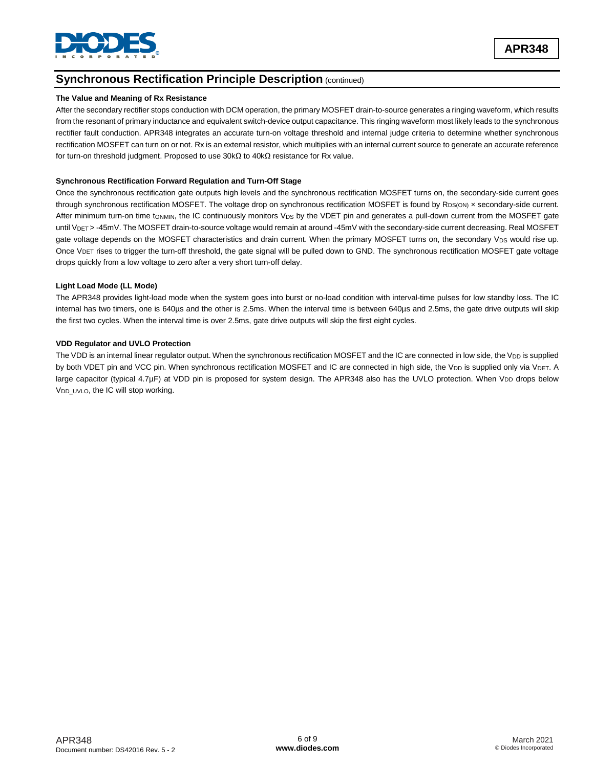

## **Synchronous Rectification Principle Description (continued)**

#### **The Value and Meaning of Rx Resistance**

After the secondary rectifier stops conduction with DCM operation, the primary MOSFET drain-to-source generates a ringing waveform, which results from the resonant of primary inductance and equivalent switch-device output capacitance. This ringing waveform most likely leads to the synchronous rectifier fault conduction. APR348 integrates an accurate turn-on voltage threshold and internal judge criteria to determine whether synchronous rectification MOSFET can turn on or not. Rx is an external resistor, which multiplies with an internal current source to generate an accurate reference for turn-on threshold judgment. Proposed to use 30kΩ to 40kΩ resistance for Rx value.

#### **Synchronous Rectification Forward Regulation and Turn-Off Stage**

Once the synchronous rectification gate outputs high levels and the synchronous rectification MOSFET turns on, the secondary-side current goes through synchronous rectification MOSFET. The voltage drop on synchronous rectification MOSFET is found by  $R_{DS(ON)} \times$  secondary-side current. After minimum turn-on time t<sub>ONMIN</sub>, the IC continuously monitors V<sub>DS</sub> by the VDET pin and generates a pull-down current from the MOSFET gate until V<sub>DET</sub> > -45mV. The MOSFET drain-to-source voltage would remain at around -45mV with the secondary-side current decreasing. Real MOSFET gate voltage depends on the MOSFET characteristics and drain current. When the primary MOSFET turns on, the secondary V<sub>DS</sub> would rise up. Once V<sub>DET</sub> rises to trigger the turn-off threshold, the gate signal will be pulled down to GND. The synchronous rectification MOSFET gate voltage drops quickly from a low voltage to zero after a very short turn-off delay.

#### **Light Load Mode (LL Mode)**

The APR348 provides light-load mode when the system goes into burst or no-load condition with interval-time pulses for low standby loss. The IC internal has two timers, one is 640µs and the other is 2.5ms. When the interval time is between 640µs and 2.5ms, the gate drive outputs will skip the first two cycles. When the interval time is over 2.5ms, gate drive outputs will skip the first eight cycles.

#### **VDD Regulator and UVLO Protection**

The VDD is an internal linear regulator output. When the synchronous rectification MOSFET and the IC are connected in low side, the V<sub>DD</sub> is supplied by both VDET pin and VCC pin. When synchronous rectification MOSFET and IC are connected in high side, the V<sub>DD</sub> is supplied only via V<sub>DET</sub>. A large capacitor (typical 4.7µF) at VDD pin is proposed for system design. The APR348 also has the UVLO protection. When V<sub>DD</sub> drops below V<sub>DD</sub> UVLO, the IC will stop working.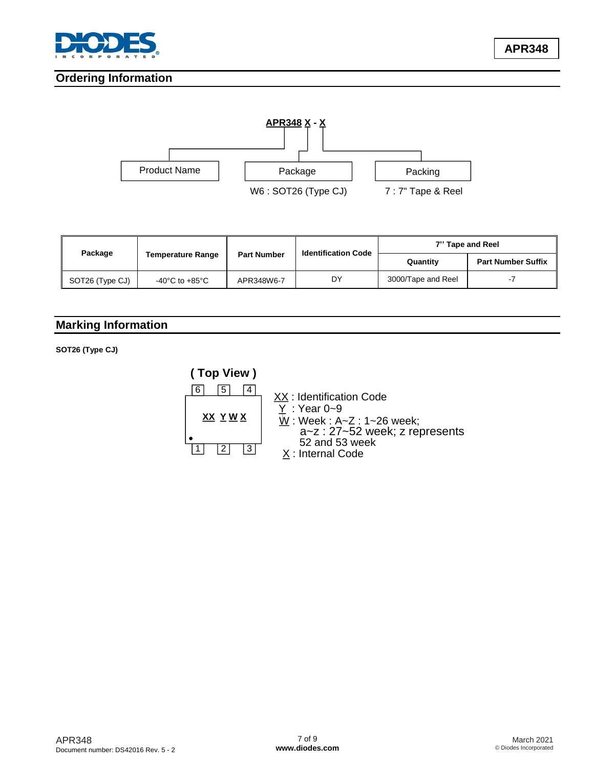

**APR348**

## **Ordering Information**



| Package         |                          | <b>Part Number</b> | <b>Identification Code</b> | 7" Tape and Reel   |                           |  |
|-----------------|--------------------------|--------------------|----------------------------|--------------------|---------------------------|--|
|                 | <b>Temperature Range</b> |                    |                            | Quantity           | <b>Part Number Suffix</b> |  |
| SOT26 (Type CJ) | -40°C to +85°C           | APR348W6-7         | DY                         | 3000/Tape and Reel | $\sim$ 1                  |  |

## **Marking Information**

**SOT26 (Type CJ)**

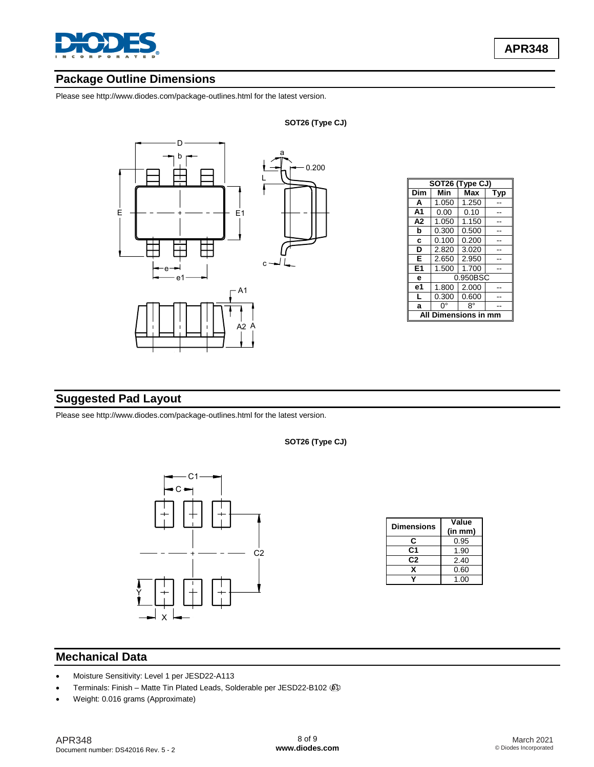

## **Package Outline Dimensions**

Please see http://www.diodes.com/package-outlines.html for the latest version.



| SOT26 (Type CJ) |          |       |     |  |
|-----------------|----------|-------|-----|--|
| Dim             | Min      | Max   | Tvp |  |
| A               | 1.050    | 1.250 |     |  |
| A1              | 0.00     | 0.10  |     |  |
| A <sub>2</sub>  | 1.050    | 1.150 |     |  |
| b               | 0.300    | 0.500 |     |  |
| C               | 0.100    | 0.200 |     |  |
| D               | 2.820    | 3.020 |     |  |
| E               | 2.650    | 2.950 |     |  |
| E1              | 1.500    | 1.700 |     |  |
| е               | 0.950BSC |       |     |  |
| е1              | 1.800    | 2.000 |     |  |
| L               | 0.300    | 0.600 |     |  |
| a               | 0°       | R°    |     |  |
| nensions i      |          |       |     |  |

## **Suggested Pad Layout**

Please see http://www.diodes.com/package-outlines.html for the latest version.



| Dimensions | Value<br>(in mm) |  |
|------------|------------------|--|
| С          | 0.95             |  |
| C1         | 1.90             |  |
| C2         | 2.40             |  |
| x          | 0.60             |  |
|            | 1.00             |  |

#### **SOT26 (Type CJ)**

## **Mechanical Data**

- Moisture Sensitivity: Level 1 per JESD22-A113
- Terminals: Finish Matte Tin Plated Leads, Solderable per JESD22-B102
-